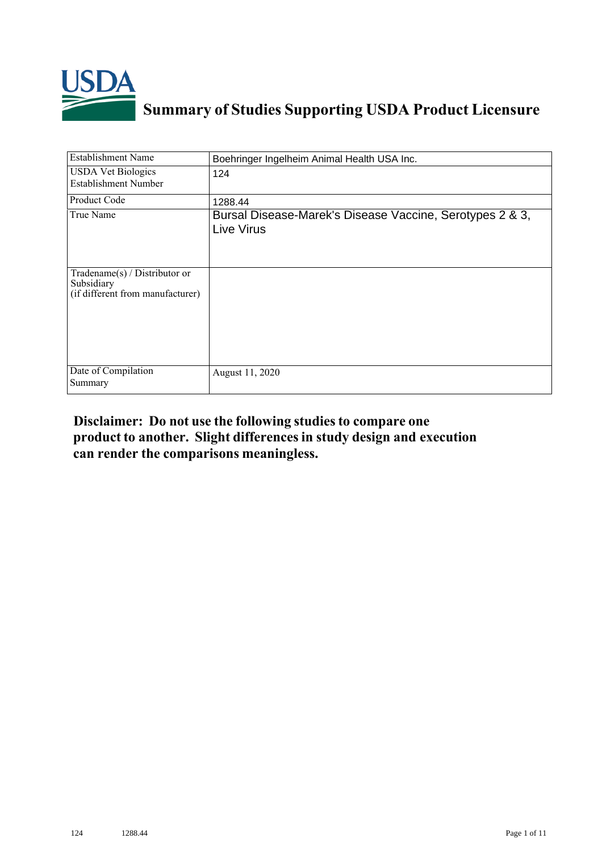

## **Summary of Studies Supporting USDA Product Licensure**

| <b>Establishment Name</b>                                                          | Boehringer Ingelheim Animal Health USA Inc.                            |
|------------------------------------------------------------------------------------|------------------------------------------------------------------------|
| <b>USDA Vet Biologics</b><br><b>Establishment Number</b>                           | 124                                                                    |
| Product Code                                                                       | 1288.44                                                                |
| True Name                                                                          | Bursal Disease-Marek's Disease Vaccine, Serotypes 2 & 3,<br>Live Virus |
| Tradename $(s)$ / Distributor or<br>Subsidiary<br>(if different from manufacturer) |                                                                        |
| Date of Compilation<br>Summary                                                     | August 11, 2020                                                        |

## **Disclaimer: Do not use the following studiesto compare one product to another. Slight differencesin study design and execution can render the comparisons meaningless.**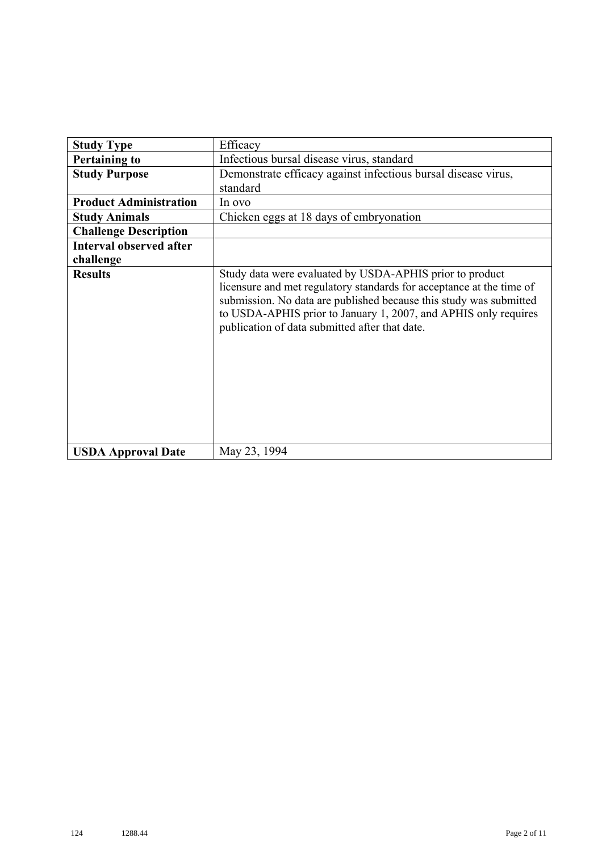| <b>Study Type</b>              | Efficacy                                                                                                                                                                                                                                                                                                                    |
|--------------------------------|-----------------------------------------------------------------------------------------------------------------------------------------------------------------------------------------------------------------------------------------------------------------------------------------------------------------------------|
|                                |                                                                                                                                                                                                                                                                                                                             |
| <b>Pertaining to</b>           | Infectious bursal disease virus, standard                                                                                                                                                                                                                                                                                   |
| <b>Study Purpose</b>           | Demonstrate efficacy against infectious bursal disease virus,                                                                                                                                                                                                                                                               |
|                                | standard                                                                                                                                                                                                                                                                                                                    |
| <b>Product Administration</b>  | In ovo                                                                                                                                                                                                                                                                                                                      |
| <b>Study Animals</b>           | Chicken eggs at 18 days of embryonation                                                                                                                                                                                                                                                                                     |
| <b>Challenge Description</b>   |                                                                                                                                                                                                                                                                                                                             |
| <b>Interval observed after</b> |                                                                                                                                                                                                                                                                                                                             |
| challenge                      |                                                                                                                                                                                                                                                                                                                             |
| <b>Results</b>                 | Study data were evaluated by USDA-APHIS prior to product<br>licensure and met regulatory standards for acceptance at the time of<br>submission. No data are published because this study was submitted<br>to USDA-APHIS prior to January 1, 2007, and APHIS only requires<br>publication of data submitted after that date. |
| <b>USDA Approval Date</b>      | May 23, 1994                                                                                                                                                                                                                                                                                                                |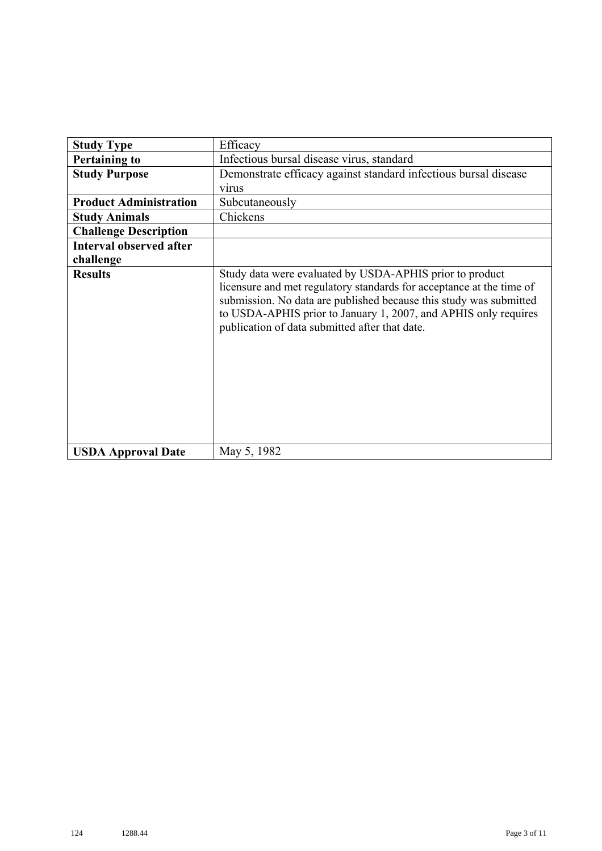| <b>Study Type</b>              | Efficacy                                                                                                                                                                                                                                                                                                                    |
|--------------------------------|-----------------------------------------------------------------------------------------------------------------------------------------------------------------------------------------------------------------------------------------------------------------------------------------------------------------------------|
| <b>Pertaining to</b>           | Infectious bursal disease virus, standard                                                                                                                                                                                                                                                                                   |
| <b>Study Purpose</b>           | Demonstrate efficacy against standard infectious bursal disease                                                                                                                                                                                                                                                             |
|                                | virus                                                                                                                                                                                                                                                                                                                       |
| <b>Product Administration</b>  | Subcutaneously                                                                                                                                                                                                                                                                                                              |
| <b>Study Animals</b>           | Chickens                                                                                                                                                                                                                                                                                                                    |
| <b>Challenge Description</b>   |                                                                                                                                                                                                                                                                                                                             |
| <b>Interval observed after</b> |                                                                                                                                                                                                                                                                                                                             |
| challenge                      |                                                                                                                                                                                                                                                                                                                             |
| <b>Results</b>                 | Study data were evaluated by USDA-APHIS prior to product<br>licensure and met regulatory standards for acceptance at the time of<br>submission. No data are published because this study was submitted<br>to USDA-APHIS prior to January 1, 2007, and APHIS only requires<br>publication of data submitted after that date. |
| <b>USDA Approval Date</b>      | May 5, 1982                                                                                                                                                                                                                                                                                                                 |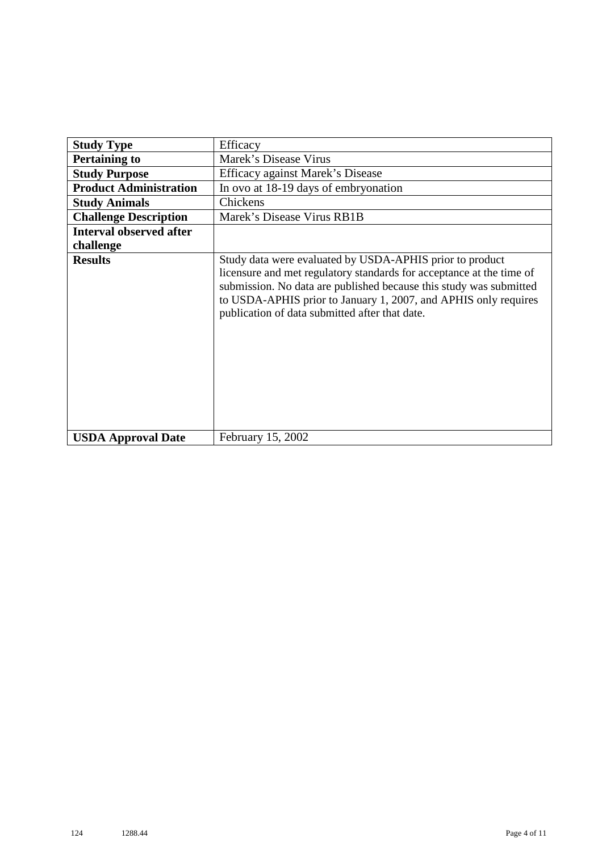| <b>Study Type</b>              | Efficacy                                                                                                                                                                                                                                                                                                                    |
|--------------------------------|-----------------------------------------------------------------------------------------------------------------------------------------------------------------------------------------------------------------------------------------------------------------------------------------------------------------------------|
| <b>Pertaining to</b>           | Marek's Disease Virus                                                                                                                                                                                                                                                                                                       |
| <b>Study Purpose</b>           | Efficacy against Marek's Disease                                                                                                                                                                                                                                                                                            |
| <b>Product Administration</b>  | In ovo at 18-19 days of embryonation                                                                                                                                                                                                                                                                                        |
| <b>Study Animals</b>           | Chickens                                                                                                                                                                                                                                                                                                                    |
| <b>Challenge Description</b>   | Marek's Disease Virus RB1B                                                                                                                                                                                                                                                                                                  |
| <b>Interval observed after</b> |                                                                                                                                                                                                                                                                                                                             |
| challenge                      |                                                                                                                                                                                                                                                                                                                             |
| <b>Results</b>                 | Study data were evaluated by USDA-APHIS prior to product<br>licensure and met regulatory standards for acceptance at the time of<br>submission. No data are published because this study was submitted<br>to USDA-APHIS prior to January 1, 2007, and APHIS only requires<br>publication of data submitted after that date. |
| <b>USDA Approval Date</b>      | February 15, 2002                                                                                                                                                                                                                                                                                                           |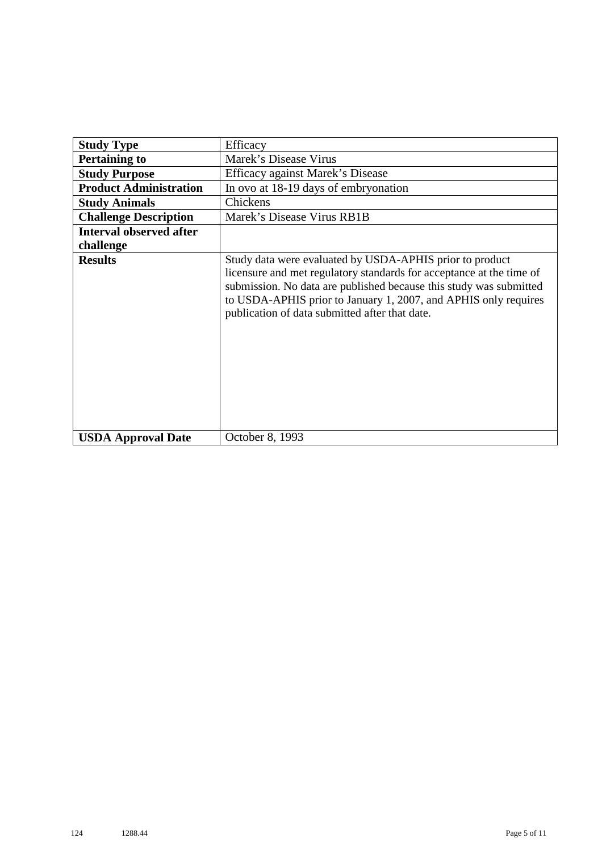| <b>Study Type</b>              | Efficacy                                                                                                                                                                                                                                                                                                                    |
|--------------------------------|-----------------------------------------------------------------------------------------------------------------------------------------------------------------------------------------------------------------------------------------------------------------------------------------------------------------------------|
| <b>Pertaining to</b>           | Marek's Disease Virus                                                                                                                                                                                                                                                                                                       |
| <b>Study Purpose</b>           | Efficacy against Marek's Disease                                                                                                                                                                                                                                                                                            |
| <b>Product Administration</b>  | In ovo at 18-19 days of embryonation                                                                                                                                                                                                                                                                                        |
| <b>Study Animals</b>           | Chickens                                                                                                                                                                                                                                                                                                                    |
| <b>Challenge Description</b>   | Marek's Disease Virus RB1B                                                                                                                                                                                                                                                                                                  |
| <b>Interval observed after</b> |                                                                                                                                                                                                                                                                                                                             |
| challenge                      |                                                                                                                                                                                                                                                                                                                             |
| <b>Results</b>                 | Study data were evaluated by USDA-APHIS prior to product<br>licensure and met regulatory standards for acceptance at the time of<br>submission. No data are published because this study was submitted<br>to USDA-APHIS prior to January 1, 2007, and APHIS only requires<br>publication of data submitted after that date. |
| <b>USDA Approval Date</b>      | October 8, 1993                                                                                                                                                                                                                                                                                                             |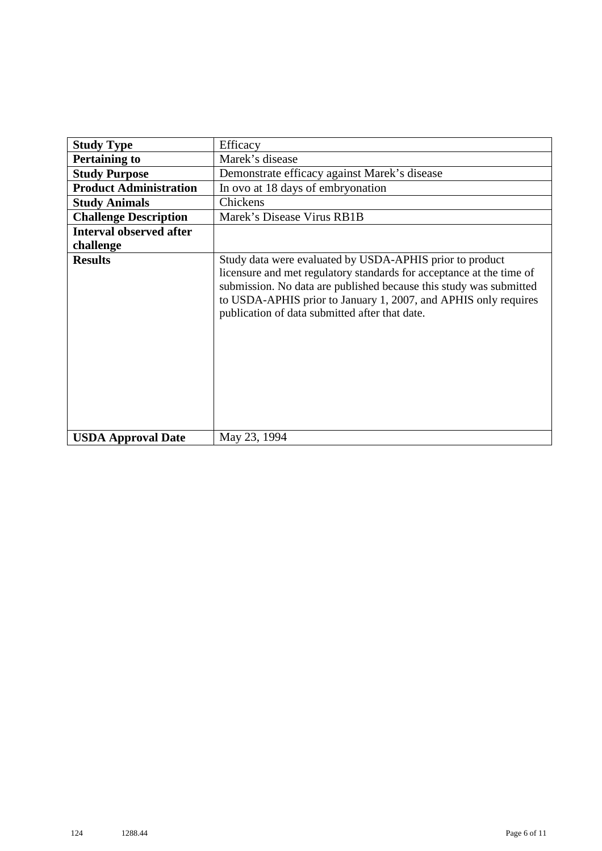| <b>Study Type</b>              | Efficacy                                                                                                                                                                                                                                                                                                                    |
|--------------------------------|-----------------------------------------------------------------------------------------------------------------------------------------------------------------------------------------------------------------------------------------------------------------------------------------------------------------------------|
| <b>Pertaining to</b>           | Marek's disease                                                                                                                                                                                                                                                                                                             |
| <b>Study Purpose</b>           | Demonstrate efficacy against Marek's disease                                                                                                                                                                                                                                                                                |
| <b>Product Administration</b>  | In ovo at 18 days of embryonation                                                                                                                                                                                                                                                                                           |
| <b>Study Animals</b>           | Chickens                                                                                                                                                                                                                                                                                                                    |
| <b>Challenge Description</b>   | Marek's Disease Virus RB1B                                                                                                                                                                                                                                                                                                  |
| <b>Interval observed after</b> |                                                                                                                                                                                                                                                                                                                             |
| challenge                      |                                                                                                                                                                                                                                                                                                                             |
| <b>Results</b>                 | Study data were evaluated by USDA-APHIS prior to product<br>licensure and met regulatory standards for acceptance at the time of<br>submission. No data are published because this study was submitted<br>to USDA-APHIS prior to January 1, 2007, and APHIS only requires<br>publication of data submitted after that date. |
| <b>USDA Approval Date</b>      | May 23, 1994                                                                                                                                                                                                                                                                                                                |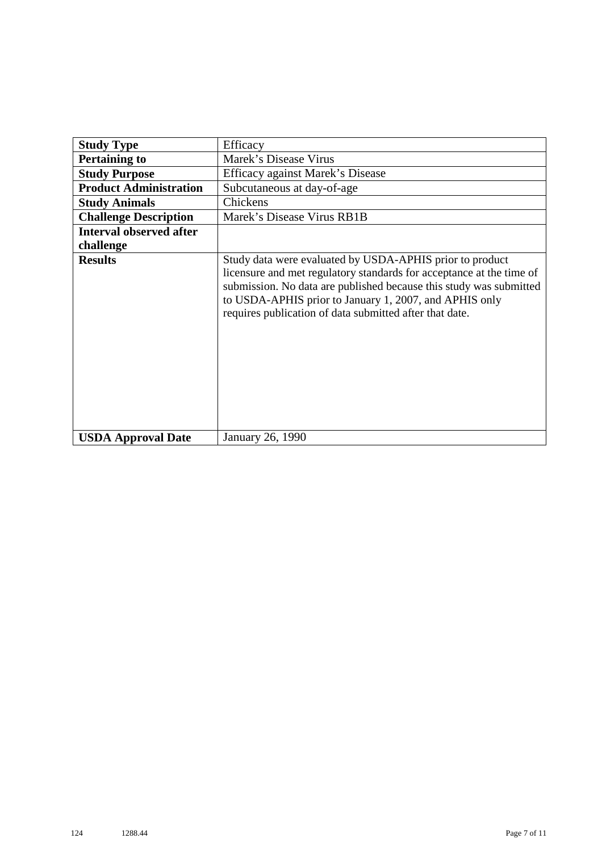| <b>Study Type</b>              | Efficacy                                                                                                                                                                                                                                                                                                                    |
|--------------------------------|-----------------------------------------------------------------------------------------------------------------------------------------------------------------------------------------------------------------------------------------------------------------------------------------------------------------------------|
| <b>Pertaining to</b>           | Marek's Disease Virus                                                                                                                                                                                                                                                                                                       |
| <b>Study Purpose</b>           | Efficacy against Marek's Disease                                                                                                                                                                                                                                                                                            |
| <b>Product Administration</b>  | Subcutaneous at day-of-age                                                                                                                                                                                                                                                                                                  |
| <b>Study Animals</b>           | Chickens                                                                                                                                                                                                                                                                                                                    |
| <b>Challenge Description</b>   | Marek's Disease Virus RB1B                                                                                                                                                                                                                                                                                                  |
| <b>Interval observed after</b> |                                                                                                                                                                                                                                                                                                                             |
| challenge                      |                                                                                                                                                                                                                                                                                                                             |
| <b>Results</b>                 | Study data were evaluated by USDA-APHIS prior to product<br>licensure and met regulatory standards for acceptance at the time of<br>submission. No data are published because this study was submitted<br>to USDA-APHIS prior to January 1, 2007, and APHIS only<br>requires publication of data submitted after that date. |
| <b>USDA Approval Date</b>      | January 26, 1990                                                                                                                                                                                                                                                                                                            |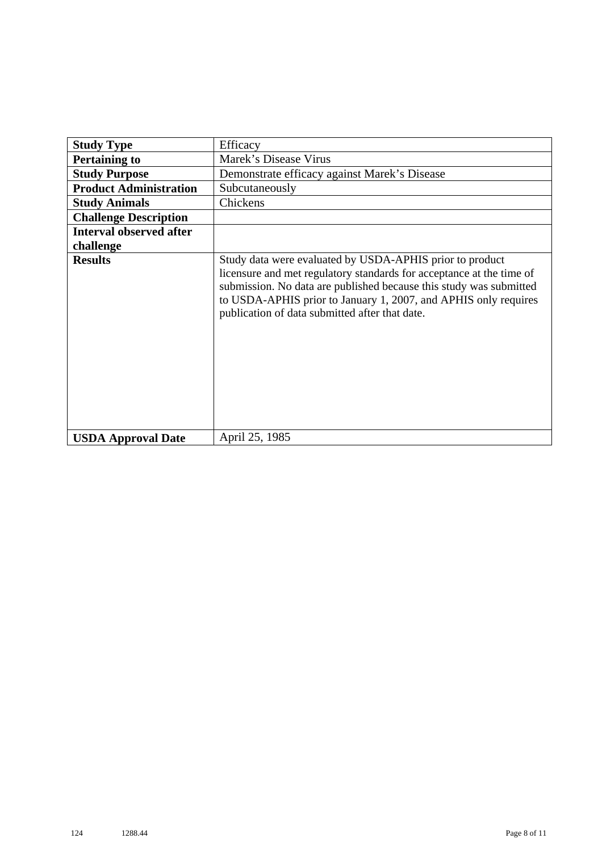| <b>Study Type</b>              | Efficacy                                                                                                                                                                                                                                                                                                                    |
|--------------------------------|-----------------------------------------------------------------------------------------------------------------------------------------------------------------------------------------------------------------------------------------------------------------------------------------------------------------------------|
| <b>Pertaining to</b>           | Marek's Disease Virus                                                                                                                                                                                                                                                                                                       |
| <b>Study Purpose</b>           | Demonstrate efficacy against Marek's Disease                                                                                                                                                                                                                                                                                |
| <b>Product Administration</b>  | Subcutaneously                                                                                                                                                                                                                                                                                                              |
| <b>Study Animals</b>           | Chickens                                                                                                                                                                                                                                                                                                                    |
| <b>Challenge Description</b>   |                                                                                                                                                                                                                                                                                                                             |
| <b>Interval observed after</b> |                                                                                                                                                                                                                                                                                                                             |
| challenge                      |                                                                                                                                                                                                                                                                                                                             |
| <b>Results</b>                 | Study data were evaluated by USDA-APHIS prior to product<br>licensure and met regulatory standards for acceptance at the time of<br>submission. No data are published because this study was submitted<br>to USDA-APHIS prior to January 1, 2007, and APHIS only requires<br>publication of data submitted after that date. |
| <b>USDA Approval Date</b>      | April 25, 1985                                                                                                                                                                                                                                                                                                              |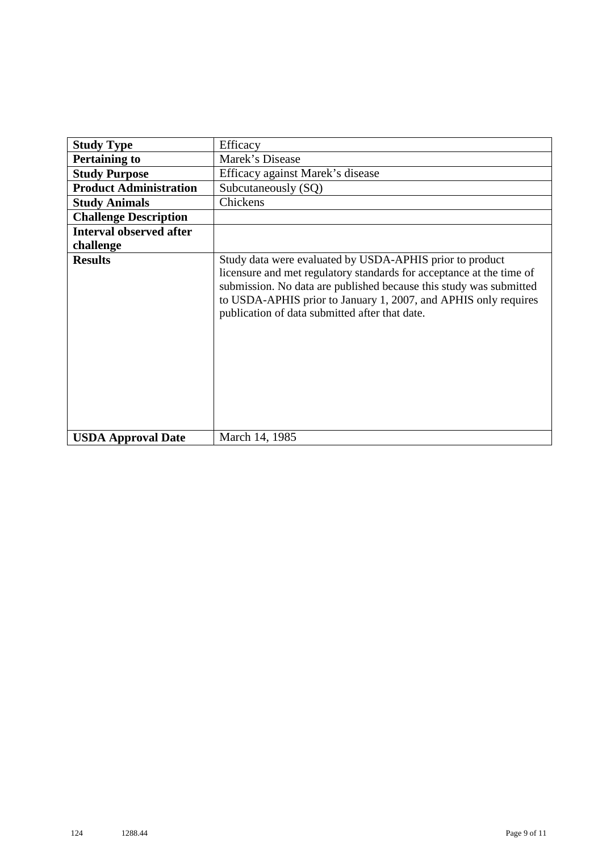| <b>Study Type</b>              | Efficacy                                                                                                                                                                                                                                                                                                                    |
|--------------------------------|-----------------------------------------------------------------------------------------------------------------------------------------------------------------------------------------------------------------------------------------------------------------------------------------------------------------------------|
| <b>Pertaining to</b>           | Marek's Disease                                                                                                                                                                                                                                                                                                             |
| <b>Study Purpose</b>           | Efficacy against Marek's disease                                                                                                                                                                                                                                                                                            |
| <b>Product Administration</b>  | Subcutaneously (SQ)                                                                                                                                                                                                                                                                                                         |
| <b>Study Animals</b>           | Chickens                                                                                                                                                                                                                                                                                                                    |
| <b>Challenge Description</b>   |                                                                                                                                                                                                                                                                                                                             |
| <b>Interval observed after</b> |                                                                                                                                                                                                                                                                                                                             |
| challenge                      |                                                                                                                                                                                                                                                                                                                             |
| <b>Results</b>                 | Study data were evaluated by USDA-APHIS prior to product<br>licensure and met regulatory standards for acceptance at the time of<br>submission. No data are published because this study was submitted<br>to USDA-APHIS prior to January 1, 2007, and APHIS only requires<br>publication of data submitted after that date. |
| <b>USDA Approval Date</b>      | March 14, 1985                                                                                                                                                                                                                                                                                                              |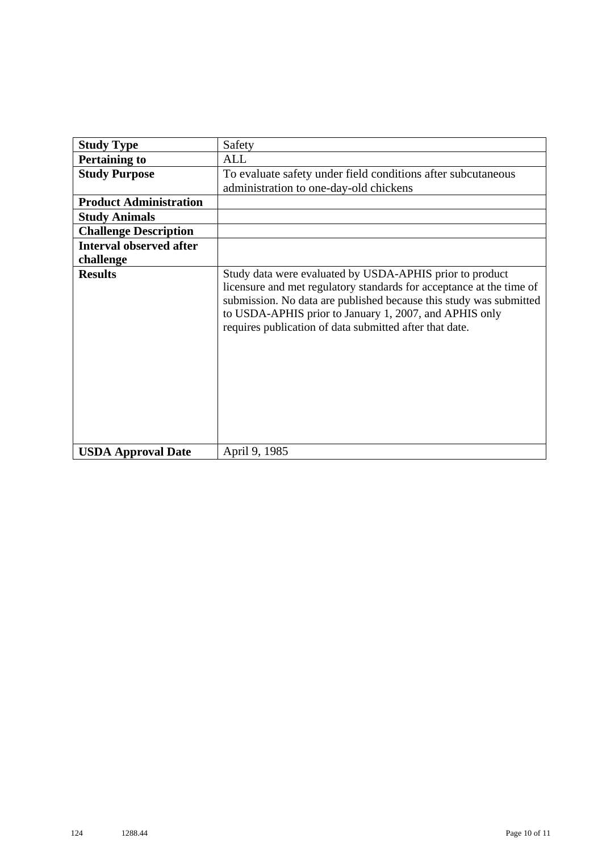| <b>Study Type</b>              | Safety                                                                                                                                                                                                                                                                                                                      |
|--------------------------------|-----------------------------------------------------------------------------------------------------------------------------------------------------------------------------------------------------------------------------------------------------------------------------------------------------------------------------|
| <b>Pertaining to</b>           | <b>ALL</b>                                                                                                                                                                                                                                                                                                                  |
| <b>Study Purpose</b>           | To evaluate safety under field conditions after subcutaneous                                                                                                                                                                                                                                                                |
|                                | administration to one-day-old chickens                                                                                                                                                                                                                                                                                      |
| <b>Product Administration</b>  |                                                                                                                                                                                                                                                                                                                             |
| <b>Study Animals</b>           |                                                                                                                                                                                                                                                                                                                             |
| <b>Challenge Description</b>   |                                                                                                                                                                                                                                                                                                                             |
| <b>Interval observed after</b> |                                                                                                                                                                                                                                                                                                                             |
| challenge                      |                                                                                                                                                                                                                                                                                                                             |
| <b>Results</b>                 | Study data were evaluated by USDA-APHIS prior to product<br>licensure and met regulatory standards for acceptance at the time of<br>submission. No data are published because this study was submitted<br>to USDA-APHIS prior to January 1, 2007, and APHIS only<br>requires publication of data submitted after that date. |
| <b>USDA Approval Date</b>      | April 9, 1985                                                                                                                                                                                                                                                                                                               |